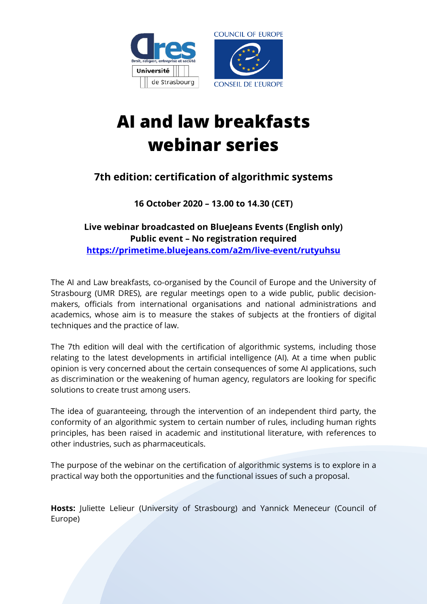

# **AI and law breakfasts webinar series**

## **7th edition: certification of algorithmic systems**

**16 October 2020 – 13.00 to 14.30 (CET)**

#### **Live webinar broadcasted on BlueJeans Events (English only) Public event – No registration required <https://primetime.bluejeans.com/a2m/live-event/rutyuhsu>**

The AI and Law breakfasts, co-organised by the Council of Europe and the University of Strasbourg (UMR DRES), are regular meetings open to a wide public, public decisionmakers, officials from international organisations and national administrations and academics, whose aim is to measure the stakes of subjects at the frontiers of digital techniques and the practice of law.

The 7th edition will deal with the certification of algorithmic systems, including those relating to the latest developments in artificial intelligence (AI). At a time when public opinion is very concerned about the certain consequences of some AI applications, such as discrimination or the weakening of human agency, regulators are looking for specific solutions to create trust among users.

The idea of guaranteeing, through the intervention of an independent third party, the conformity of an algorithmic system to certain number of rules, including human rights principles, has been raised in academic and institutional literature, with references to other industries, such as pharmaceuticals.

The purpose of the webinar on the certification of algorithmic systems is to explore in a practical way both the opportunities and the functional issues of such a proposal.

**Hosts:** Juliette Lelieur (University of Strasbourg) and Yannick Meneceur (Council of Europe)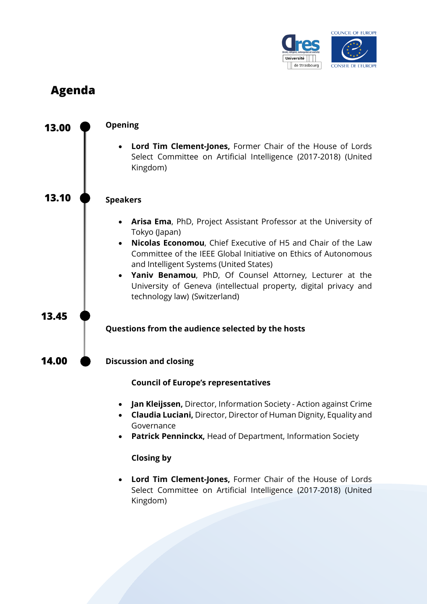

# **Agenda**



#### **Closing by**

• **Lord Tim Clement-Jones,** Former Chair of the House of Lords Select Committee on Artificial Intelligence (2017-2018) (United Kingdom)